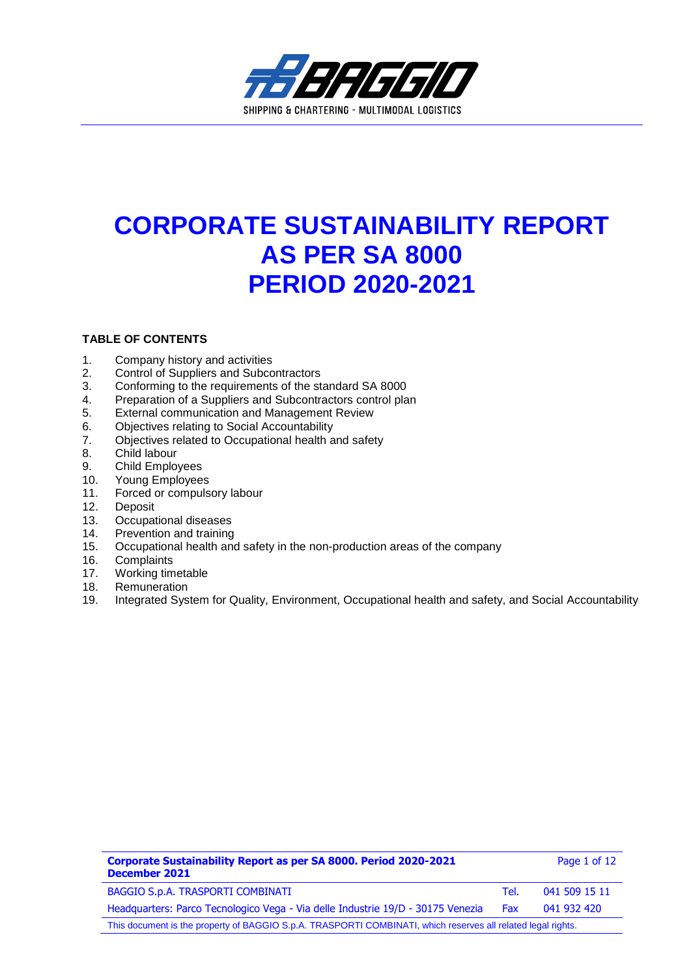

# **CORPORATE SUSTAINABILITY REPORT AS PER SA 8000 PERIOD 2020-2021**

# **TABLE OF CONTENTS**

- 1. Company history and activities
- 2. Control of Suppliers and Subcontractors
- 3. Conforming to the requirements of the standard SA 8000
- 4. Preparation of a Suppliers and Subcontractors control plan
- 5. External communication and Management Review
- 6. Objectives relating to Social Accountability
- 7. Objectives related to Occupational health and safety
- 8. Child labour
- 9. Child Employees
- 10. Young Employees
- 11. Forced or compulsory labour
- 12. Deposit
- 13. Occupational diseases<br>14. Prevention and training
- Prevention and training
- 15. Occupational health and safety in the non-production areas of the company
- 16. Complaints
- 17. Working timetable
- 18. Remuneration
- 19. Integrated System for Quality, Environment, Occupational health and safety, and Social Accountability

| <b>Corporate Sustainability Report as per SA 8000. Period 2020-2021</b><br><b>December 2021</b>              |      | Page 1 of 12  |
|--------------------------------------------------------------------------------------------------------------|------|---------------|
| BAGGIO S.p.A. TRASPORTI COMBINATI                                                                            | Tel. | 041 509 15 11 |
| Headquarters: Parco Tecnologico Vega - Via delle Industrie 19/D - 30175 Venezia                              | Fax  | 041 932 420   |
| This document is the property of BAGGIO S.p.A. TRASPORTI COMBINATI, which reserves all related legal rights. |      |               |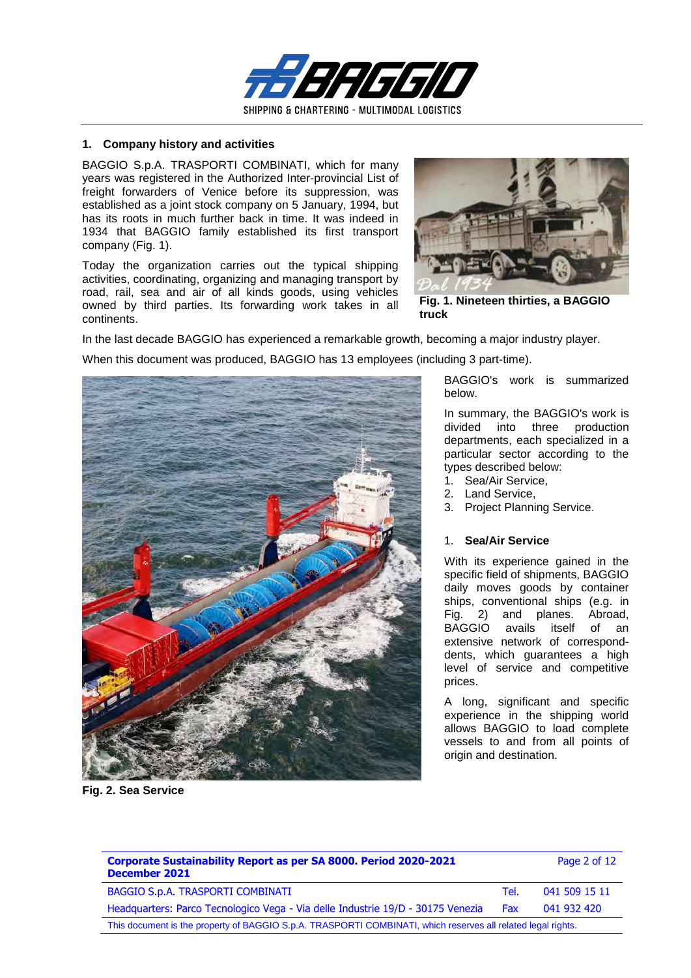

# **1. Company history and activities**

BAGGIO S.p.A. TRASPORTI COMBINATI, which for many years was registered in the Authorized Inter-provincial List of freight forwarders of Venice before its suppression, was established as a joint stock company on 5 January, 1994, but has its roots in much further back in time. It was indeed in 1934 that BAGGIO family established its first transport company (Fig. 1).

Today the organization carries out the typical shipping activities, coordinating, organizing and managing transport by road, rail, sea and air of all kinds goods, using vehicles owned by third parties. Its forwarding work takes in all continents.



**Fig. 1. Nineteen thirties, a BAGGIO truck**

In the last decade BAGGIO has experienced a remarkable growth, becoming a major industry player.

When this document was produced, BAGGIO has 13 employees (including 3 part-time).



**Fig. 2. Sea Service**

BAGGIO's work is summarized below.

In summary, the BAGGIO's work is divided into three production departments, each specialized in a particular sector according to the types described below:

- 1. Sea/Air Service,
- 2. Land Service,
- 3. Project Planning Service.

#### 1. **Sea/Air Service**

With its experience gained in the specific field of shipments, BAGGIO daily moves goods by container ships, conventional ships (e.g. in Fig. 2) and planes. Abroad, BAGGIO avails itself of an extensive network of corresponddents, which guarantees a high level of service and competitive prices.

A long, significant and specific experience in the shipping world allows BAGGIO to load complete vessels to and from all points of origin and destination.

| <b>Corporate Sustainability Report as per SA 8000. Period 2020-2021</b><br>December 2021                     | Page 2 of 12 |               |
|--------------------------------------------------------------------------------------------------------------|--------------|---------------|
| BAGGIO S.p.A. TRASPORTI COMBINATI                                                                            | Tel.         | 041 509 15 11 |
| Headquarters: Parco Tecnologico Vega - Via delle Industrie 19/D - 30175 Venezia                              | Fax          | 041 932 420   |
| This document is the property of BAGGIO S.p.A. TRASPORTI COMBINATI, which reserves all related legal rights. |              |               |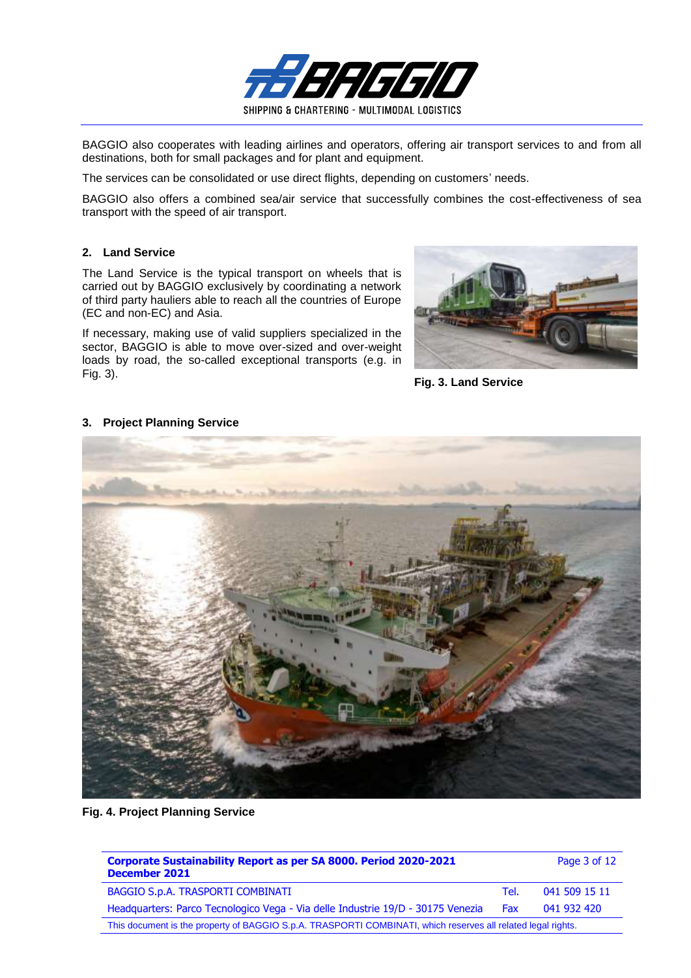

BAGGIO also cooperates with leading airlines and operators, offering air transport services to and from all destinations, both for small packages and for plant and equipment.

The services can be consolidated or use direct flights, depending on customers' needs.

BAGGIO also offers a combined sea/air service that successfully combines the cost-effectiveness of sea transport with the speed of air transport.

# **2. Land Service**

The Land Service is the typical transport on wheels that is carried out by BAGGIO exclusively by coordinating a network of third party hauliers able to reach all the countries of Europe (EC and non-EC) and Asia.

If necessary, making use of valid suppliers specialized in the sector, BAGGIO is able to move over-sized and over-weight loads by road, the so-called exceptional transports (e.g. in Fig. 3).



**Fig. 3. Land Service**

#### **3. Project Planning Service**



**Fig. 4. Project Planning Service**

| <b>Corporate Sustainability Report as per SA 8000. Period 2020-2021</b><br>December 2021                     | Page 3 of 12 |               |
|--------------------------------------------------------------------------------------------------------------|--------------|---------------|
| BAGGIO S.p.A. TRASPORTI COMBINATI                                                                            | Tel.         | 041 509 15 11 |
| Headquarters: Parco Tecnologico Vega - Via delle Industrie 19/D - 30175 Venezia                              | <b>Fax</b>   | 041 932 420   |
| This document is the property of BAGGIO S.p.A. TRASPORTI COMBINATI, which reserves all related legal rights. |              |               |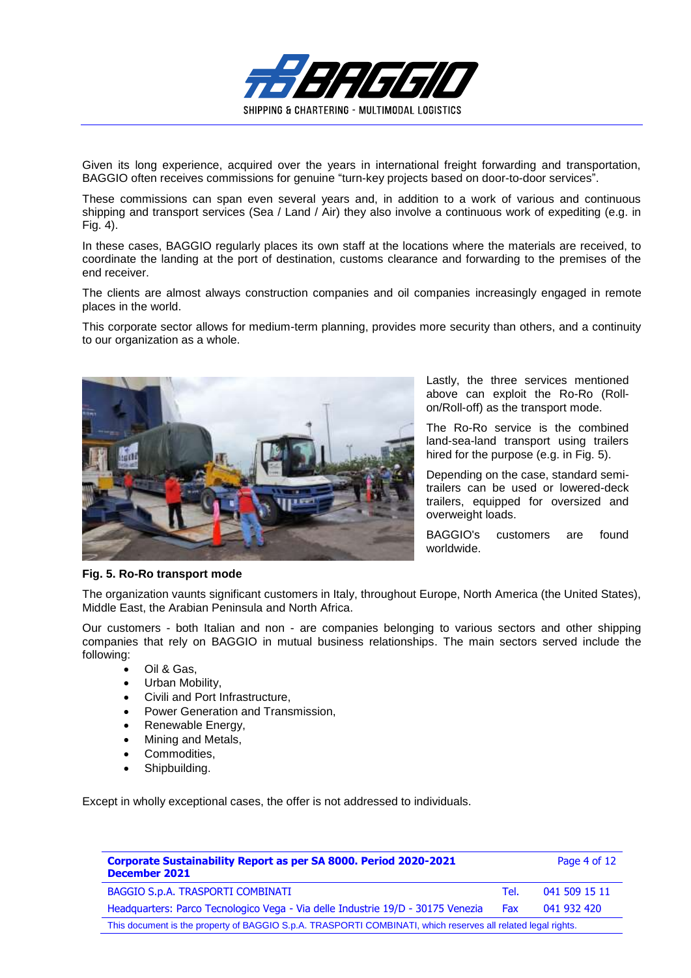

Given its long experience, acquired over the years in international freight forwarding and transportation, BAGGIO often receives commissions for genuine "turn-key projects based on door-to-door services".

These commissions can span even several years and, in addition to a work of various and continuous shipping and transport services (Sea / Land / Air) they also involve a continuous work of expediting (e.g. in Fig. 4).

In these cases, BAGGIO regularly places its own staff at the locations where the materials are received, to coordinate the landing at the port of destination, customs clearance and forwarding to the premises of the end receiver.

The clients are almost always construction companies and oil companies increasingly engaged in remote places in the world.

This corporate sector allows for medium-term planning, provides more security than others, and a continuity to our organization as a whole.



Lastly, the three services mentioned above can exploit the Ro-Ro (Rollon/Roll-off) as the transport mode.

The Ro-Ro service is the combined land-sea-land transport using trailers hired for the purpose (e.g. in Fig. 5).

Depending on the case, standard semitrailers can be used or lowered-deck trailers, equipped for oversized and overweight loads.

BAGGIO's customers are found worldwide.

#### **Fig. 5. Ro-Ro transport mode**

The organization vaunts significant customers in Italy, throughout Europe, North America (the United States), Middle East, the Arabian Peninsula and North Africa.

Our customers - both Italian and non - are companies belonging to various sectors and other shipping companies that rely on BAGGIO in mutual business relationships. The main sectors served include the following:

- Oil & Gas,
- Urban Mobility,
- Civili and Port Infrastructure,
- Power Generation and Transmission,
- Renewable Energy,
- Mining and Metals,
- Commodities,
- Shipbuilding.

Except in wholly exceptional cases, the offer is not addressed to individuals.

| <b>Corporate Sustainability Report as per SA 8000. Period 2020-2021</b><br>December 2021                     |            | Page 4 of 12  |
|--------------------------------------------------------------------------------------------------------------|------------|---------------|
| BAGGIO S.p.A. TRASPORTI COMBINATI                                                                            | Tel.       | 041 509 15 11 |
| Headquarters: Parco Tecnologico Vega - Via delle Industrie 19/D - 30175 Venezia                              | <b>Fax</b> | 041 932 420   |
| This document is the property of BAGGIO S.p.A. TRASPORTI COMBINATI, which reserves all related legal rights. |            |               |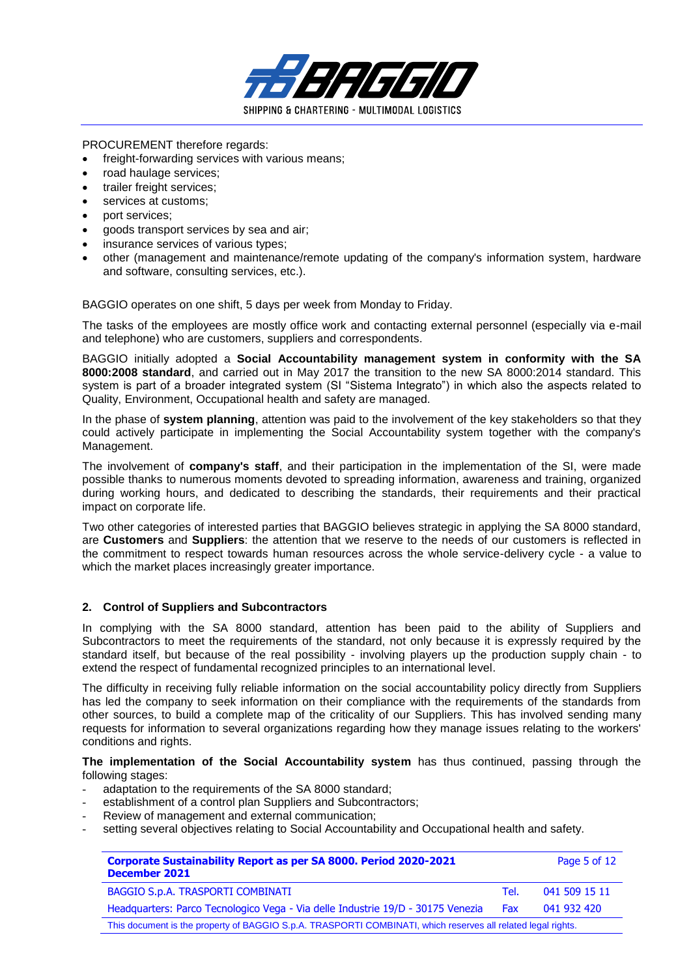

PROCUREMENT therefore regards:

- freight-forwarding services with various means;
- road haulage services;
- trailer freight services;
- services at customs;
- port services;
- goods transport services by sea and air;
- insurance services of various types;
- other (management and maintenance/remote updating of the company's information system, hardware and software, consulting services, etc.).

BAGGIO operates on one shift, 5 days per week from Monday to Friday.

The tasks of the employees are mostly office work and contacting external personnel (especially via e-mail and telephone) who are customers, suppliers and correspondents.

BAGGIO initially adopted a **Social Accountability management system in conformity with the SA 8000:2008 standard**, and carried out in May 2017 the transition to the new SA 8000:2014 standard. This system is part of a broader integrated system (SI "Sistema Integrato") in which also the aspects related to Quality, Environment, Occupational health and safety are managed.

In the phase of **system planning**, attention was paid to the involvement of the key stakeholders so that they could actively participate in implementing the Social Accountability system together with the company's Management.

The involvement of **company's staff**, and their participation in the implementation of the SI, were made possible thanks to numerous moments devoted to spreading information, awareness and training, organized during working hours, and dedicated to describing the standards, their requirements and their practical impact on corporate life.

Two other categories of interested parties that BAGGIO believes strategic in applying the SA 8000 standard, are **Customers** and **Suppliers**: the attention that we reserve to the needs of our customers is reflected in the commitment to respect towards human resources across the whole service-delivery cycle - a value to which the market places increasingly greater importance.

### **2. Control of Suppliers and Subcontractors**

In complying with the SA 8000 standard, attention has been paid to the ability of Suppliers and Subcontractors to meet the requirements of the standard, not only because it is expressly required by the standard itself, but because of the real possibility - involving players up the production supply chain - to extend the respect of fundamental recognized principles to an international level.

The difficulty in receiving fully reliable information on the social accountability policy directly from Suppliers has led the company to seek information on their compliance with the requirements of the standards from other sources, to build a complete map of the criticality of our Suppliers. This has involved sending many requests for information to several organizations regarding how they manage issues relating to the workers' conditions and rights.

**The implementation of the Social Accountability system** has thus continued, passing through the following stages:

- adaptation to the requirements of the SA 8000 standard:
- establishment of a control plan Suppliers and Subcontractors:
- Review of management and external communication;
- setting several objectives relating to Social Accountability and Occupational health and safety.

| <b>Corporate Sustainability Report as per SA 8000. Period 2020-2021</b><br>December 2021                     |            | Page 5 of 12  |  |
|--------------------------------------------------------------------------------------------------------------|------------|---------------|--|
| BAGGIO S.p.A. TRASPORTI COMBINATI                                                                            | Tel.       | 041 509 15 11 |  |
| Headquarters: Parco Tecnologico Vega - Via delle Industrie 19/D - 30175 Venezia                              | <b>Fax</b> | 041 932 420   |  |
| This document is the property of BAGGIO S.p.A. TRASPORTI COMBINATI, which reserves all related legal rights. |            |               |  |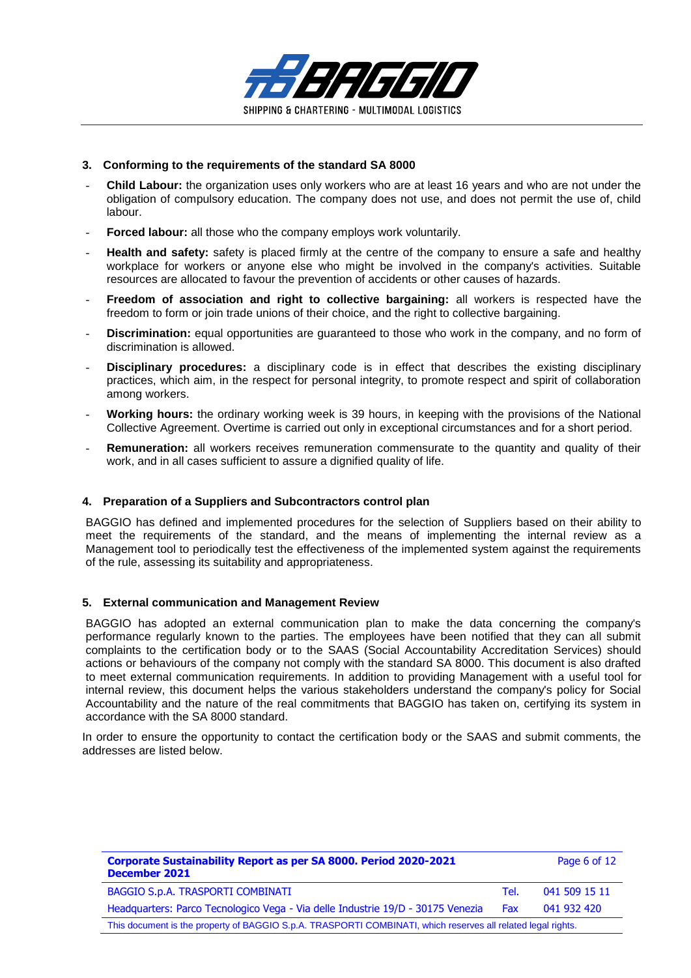

## **3. Conforming to the requirements of the standard SA 8000**

- **Child Labour:** the organization uses only workers who are at least 16 years and who are not under the obligation of compulsory education. The company does not use, and does not permit the use of, child labour.
- **Forced labour:** all those who the company employs work voluntarily.
- **Health and safety:** safety is placed firmly at the centre of the company to ensure a safe and healthy workplace for workers or anyone else who might be involved in the company's activities. Suitable resources are allocated to favour the prevention of accidents or other causes of hazards.
- **Freedom of association and right to collective bargaining:** all workers is respected have the freedom to form or join trade unions of their choice, and the right to collective bargaining.
- **Discrimination:** equal opportunities are guaranteed to those who work in the company, and no form of discrimination is allowed.
- **Disciplinary procedures:** a disciplinary code is in effect that describes the existing disciplinary practices, which aim, in the respect for personal integrity, to promote respect and spirit of collaboration among workers.
- **Working hours:** the ordinary working week is 39 hours, in keeping with the provisions of the National Collective Agreement. Overtime is carried out only in exceptional circumstances and for a short period.
- Remuneration: all workers receives remuneration commensurate to the quantity and quality of their work, and in all cases sufficient to assure a dignified quality of life.

#### **4. Preparation of a Suppliers and Subcontractors control plan**

BAGGIO has defined and implemented procedures for the selection of Suppliers based on their ability to meet the requirements of the standard, and the means of implementing the internal review as a Management tool to periodically test the effectiveness of the implemented system against the requirements of the rule, assessing its suitability and appropriateness.

#### **5. External communication and Management Review**

BAGGIO has adopted an external communication plan to make the data concerning the company's performance regularly known to the parties. The employees have been notified that they can all submit complaints to the certification body or to the SAAS (Social Accountability Accreditation Services) should actions or behaviours of the company not comply with the standard SA 8000. This document is also drafted to meet external communication requirements. In addition to providing Management with a useful tool for internal review, this document helps the various stakeholders understand the company's policy for Social Accountability and the nature of the real commitments that BAGGIO has taken on, certifying its system in accordance with the SA 8000 standard.

In order to ensure the opportunity to contact the certification body or the SAAS and submit comments, the addresses are listed below.

| <b>Corporate Sustainability Report as per SA 8000. Period 2020-2021</b><br>December 2021                     |            | Page 6 of 12  |
|--------------------------------------------------------------------------------------------------------------|------------|---------------|
| BAGGIO S.p.A. TRASPORTI COMBINATI                                                                            | Tel.       | 041 509 15 11 |
| Headquarters: Parco Tecnologico Vega - Via delle Industrie 19/D - 30175 Venezia                              | <b>Fax</b> | 041 932 420   |
| This document is the property of BAGGIO S.p.A. TRASPORTI COMBINATI, which reserves all related legal rights. |            |               |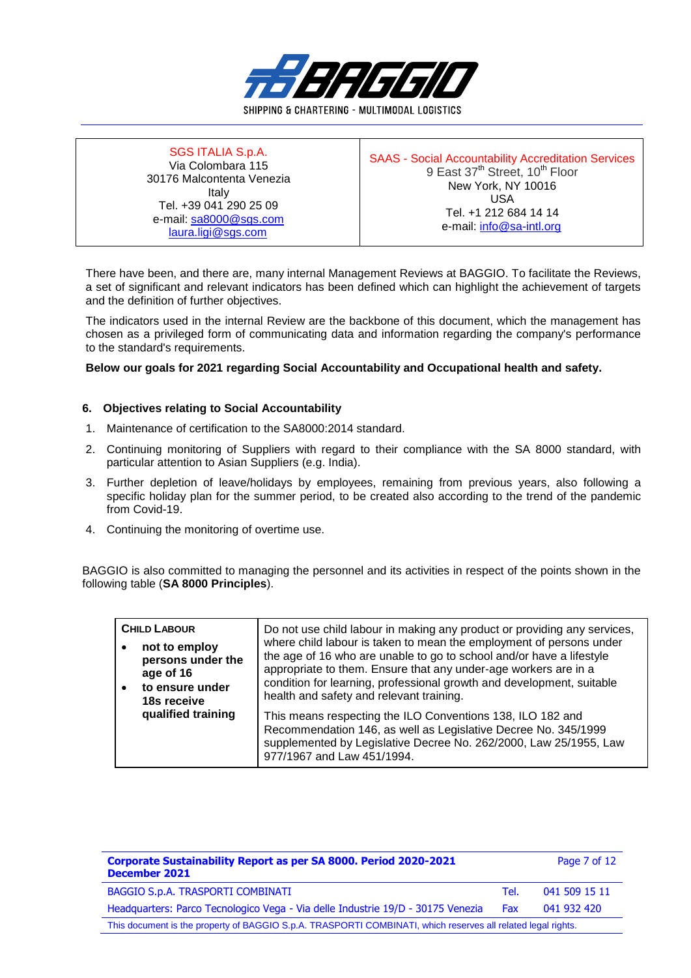

SGS ITALIA S.p.A. Via Colombara 115 30176 Malcontenta Venezia Italy Tel. +39 041 290 25 09 e-mail: [sa8000@sgs.com](mailto:sa8000@sgs.com) [laura.ligi@sgs.com](mailto:laura.ligi@sgs.com)

SAAS - Social Accountability Accreditation Services 9 East 37<sup>th</sup> Street, 10<sup>th</sup> Floor New York, NY 10016 USA Tel. +1 212 684 14 14 e-mail: [info@sa-intl.org](mailto:info@sa-intl.org)

There have been, and there are, many internal Management Reviews at BAGGIO. To facilitate the Reviews, a set of significant and relevant indicators has been defined which can highlight the achievement of targets and the definition of further objectives.

The indicators used in the internal Review are the backbone of this document, which the management has chosen as a privileged form of communicating data and information regarding the company's performance to the standard's requirements.

## **Below our goals for 2021 regarding Social Accountability and Occupational health and safety.**

## **6. Objectives relating to Social Accountability**

- 1. Maintenance of certification to the SA8000:2014 standard.
- 2. Continuing monitoring of Suppliers with regard to their compliance with the SA 8000 standard, with particular attention to Asian Suppliers (e.g. India).
- 3. Further depletion of leave/holidays by employees, remaining from previous years, also following a specific holiday plan for the summer period, to be created also according to the trend of the pandemic from Covid-19.
- 4. Continuing the monitoring of overtime use.

BAGGIO is also committed to managing the personnel and its activities in respect of the points shown in the following table (**SA 8000 Principles**).

|  | <b>CHILD LABOUR</b><br>not to employ<br>persons under the<br>age of 16<br>to ensure under<br>18s receive<br>qualified training | Do not use child labour in making any product or providing any services,<br>where child labour is taken to mean the employment of persons under<br>the age of 16 who are unable to go to school and/or have a lifestyle<br>appropriate to them. Ensure that any under-age workers are in a<br>condition for learning, professional growth and development, suitable<br>health and safety and relevant training. |
|--|--------------------------------------------------------------------------------------------------------------------------------|-----------------------------------------------------------------------------------------------------------------------------------------------------------------------------------------------------------------------------------------------------------------------------------------------------------------------------------------------------------------------------------------------------------------|
|  |                                                                                                                                | This means respecting the ILO Conventions 138, ILO 182 and<br>Recommendation 146, as well as Legislative Decree No. 345/1999<br>supplemented by Legislative Decree No. 262/2000, Law 25/1955, Law<br>977/1967 and Law 451/1994.                                                                                                                                                                                 |

| <b>Corporate Sustainability Report as per SA 8000. Period 2020-2021</b><br>December 2021                     | Page 7 of 12 |               |
|--------------------------------------------------------------------------------------------------------------|--------------|---------------|
| BAGGIO S.p.A. TRASPORTI COMBINATI                                                                            | Tel.         | 041 509 15 11 |
| Headquarters: Parco Tecnologico Vega - Via delle Industrie 19/D - 30175 Venezia                              | Fax          | 041 932 420   |
| This document is the property of BAGGIO S.p.A. TRASPORTI COMBINATI, which reserves all related legal rights. |              |               |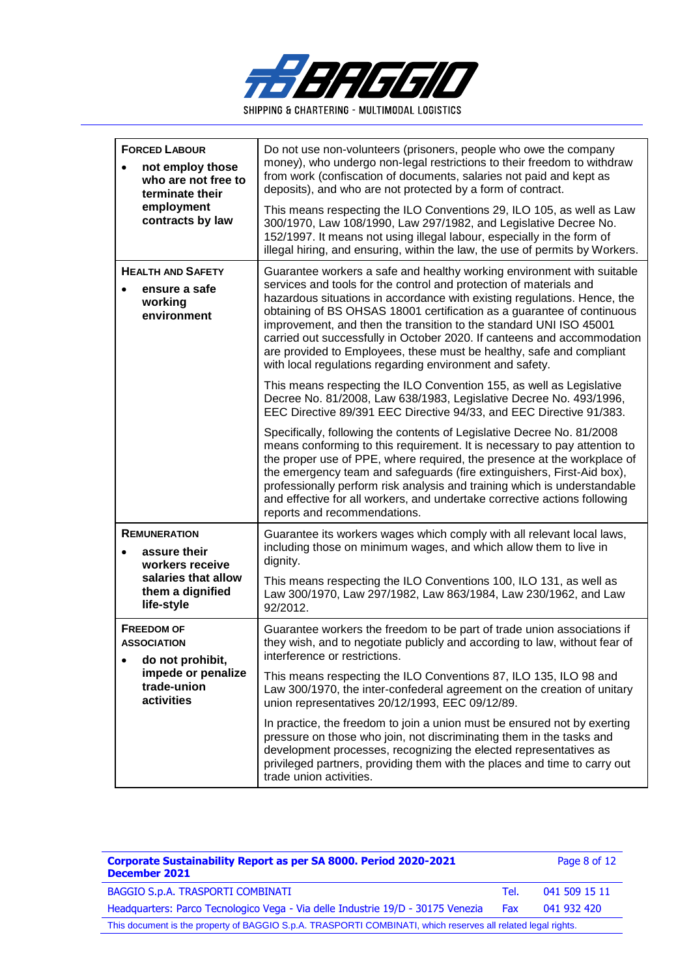

SHIPPING & CHARTERING - MULTIMODAL LOGISTICS

| <b>FORCED LABOUR</b><br>not employ those<br>who are not free to<br>terminate their<br>employment<br>contracts by law         | Do not use non-volunteers (prisoners, people who owe the company<br>money), who undergo non-legal restrictions to their freedom to withdraw<br>from work (confiscation of documents, salaries not paid and kept as<br>deposits), and who are not protected by a form of contract.<br>This means respecting the ILO Conventions 29, ILO 105, as well as Law<br>300/1970, Law 108/1990, Law 297/1982, and Legislative Decree No.<br>152/1997. It means not using illegal labour, especially in the form of                                                                                                                                                                                                                   |
|------------------------------------------------------------------------------------------------------------------------------|----------------------------------------------------------------------------------------------------------------------------------------------------------------------------------------------------------------------------------------------------------------------------------------------------------------------------------------------------------------------------------------------------------------------------------------------------------------------------------------------------------------------------------------------------------------------------------------------------------------------------------------------------------------------------------------------------------------------------|
| <b>HEALTH AND SAFETY</b><br>ensure a safe<br>$\bullet$<br>working<br>environment                                             | illegal hiring, and ensuring, within the law, the use of permits by Workers.<br>Guarantee workers a safe and healthy working environment with suitable<br>services and tools for the control and protection of materials and<br>hazardous situations in accordance with existing regulations. Hence, the<br>obtaining of BS OHSAS 18001 certification as a guarantee of continuous<br>improvement, and then the transition to the standard UNI ISO 45001<br>carried out successfully in October 2020. If canteens and accommodation<br>are provided to Employees, these must be healthy, safe and compliant<br>with local regulations regarding environment and safety.                                                    |
|                                                                                                                              | This means respecting the ILO Convention 155, as well as Legislative<br>Decree No. 81/2008, Law 638/1983, Legislative Decree No. 493/1996,<br>EEC Directive 89/391 EEC Directive 94/33, and EEC Directive 91/383.<br>Specifically, following the contents of Legislative Decree No. 81/2008<br>means conforming to this requirement. It is necessary to pay attention to<br>the proper use of PPE, where required, the presence at the workplace of<br>the emergency team and safeguards (fire extinguishers, First-Aid box),<br>professionally perform risk analysis and training which is understandable<br>and effective for all workers, and undertake corrective actions following<br>reports and recommendations.    |
| <b>REMUNERATION</b><br>assure their<br>$\bullet$<br>workers receive<br>salaries that allow<br>them a dignified<br>life-style | Guarantee its workers wages which comply with all relevant local laws,<br>including those on minimum wages, and which allow them to live in<br>dignity.<br>This means respecting the ILO Conventions 100, ILO 131, as well as<br>Law 300/1970, Law 297/1982, Law 863/1984, Law 230/1962, and Law<br>92/2012.                                                                                                                                                                                                                                                                                                                                                                                                               |
| <b>FREEDOM OF</b><br><b>ASSOCIATION</b><br>do not prohibit,<br>impede or penalize<br>trade-union<br>activities               | Guarantee workers the freedom to be part of trade union associations if<br>they wish, and to negotiate publicly and according to law, without fear of<br>interference or restrictions.<br>This means respecting the ILO Conventions 87, ILO 135, ILO 98 and<br>Law 300/1970, the inter-confederal agreement on the creation of unitary<br>union representatives 20/12/1993, EEC 09/12/89.<br>In practice, the freedom to join a union must be ensured not by exerting<br>pressure on those who join, not discriminating them in the tasks and<br>development processes, recognizing the elected representatives as<br>privileged partners, providing them with the places and time to carry out<br>trade union activities. |

| <b>Corporate Sustainability Report as per SA 8000. Period 2020-2021</b><br>December 2021                     | Page 8 of 12 |               |
|--------------------------------------------------------------------------------------------------------------|--------------|---------------|
| BAGGIO S.p.A. TRASPORTI COMBINATI                                                                            | Tel.         | 041 509 15 11 |
| Headquarters: Parco Tecnologico Vega - Via delle Industrie 19/D - 30175 Venezia                              | Fax          | 041 932 420   |
| This document is the property of BAGGIO S.p.A. TRASPORTI COMBINATI, which reserves all related legal rights. |              |               |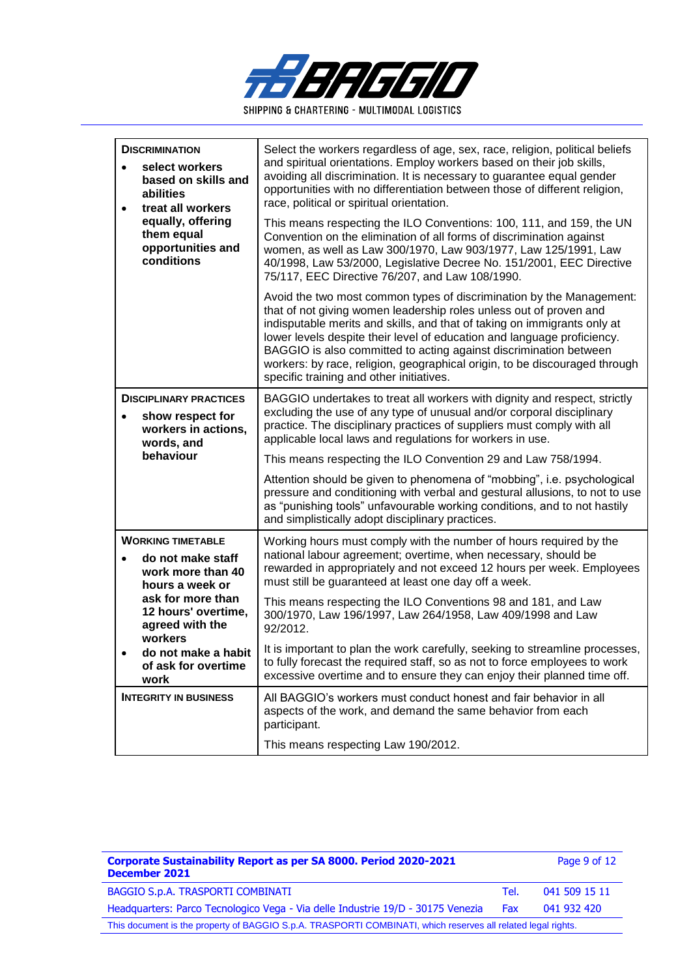

SHIPPING & CHARTERING - MULTIMODAL LOGISTICS

| <b>DISCRIMINATION</b><br>select workers<br>based on skills and<br>abilities<br>treat all workers<br>$\bullet$ |                                                                                        | Select the workers regardless of age, sex, race, religion, political beliefs<br>and spiritual orientations. Employ workers based on their job skills,<br>avoiding all discrimination. It is necessary to guarantee equal gender<br>opportunities with no differentiation between those of different religion,<br>race, political or spiritual orientation.                                                                                                                                       |
|---------------------------------------------------------------------------------------------------------------|----------------------------------------------------------------------------------------|--------------------------------------------------------------------------------------------------------------------------------------------------------------------------------------------------------------------------------------------------------------------------------------------------------------------------------------------------------------------------------------------------------------------------------------------------------------------------------------------------|
|                                                                                                               | equally, offering<br>them equal<br>opportunities and<br>conditions                     | This means respecting the ILO Conventions: 100, 111, and 159, the UN<br>Convention on the elimination of all forms of discrimination against<br>women, as well as Law 300/1970, Law 903/1977, Law 125/1991, Law<br>40/1998, Law 53/2000, Legislative Decree No. 151/2001, EEC Directive<br>75/117, EEC Directive 76/207, and Law 108/1990.                                                                                                                                                       |
|                                                                                                               |                                                                                        | Avoid the two most common types of discrimination by the Management:<br>that of not giving women leadership roles unless out of proven and<br>indisputable merits and skills, and that of taking on immigrants only at<br>lower levels despite their level of education and language proficiency.<br>BAGGIO is also committed to acting against discrimination between<br>workers: by race, religion, geographical origin, to be discouraged through<br>specific training and other initiatives. |
| $\bullet$                                                                                                     | <b>DISCIPLINARY PRACTICES</b><br>show respect for<br>workers in actions,<br>words, and | BAGGIO undertakes to treat all workers with dignity and respect, strictly<br>excluding the use of any type of unusual and/or corporal disciplinary<br>practice. The disciplinary practices of suppliers must comply with all<br>applicable local laws and regulations for workers in use.                                                                                                                                                                                                        |
|                                                                                                               | behaviour                                                                              | This means respecting the ILO Convention 29 and Law 758/1994.                                                                                                                                                                                                                                                                                                                                                                                                                                    |
|                                                                                                               |                                                                                        | Attention should be given to phenomena of "mobbing", i.e. psychological<br>pressure and conditioning with verbal and gestural allusions, to not to use<br>as "punishing tools" unfavourable working conditions, and to not hastily<br>and simplistically adopt disciplinary practices.                                                                                                                                                                                                           |
|                                                                                                               | <b>WORKING TIMETABLE</b><br>do not make staff<br>work more than 40<br>hours a week or  | Working hours must comply with the number of hours required by the<br>national labour agreement; overtime, when necessary, should be<br>rewarded in appropriately and not exceed 12 hours per week. Employees<br>must still be guaranteed at least one day off a week.                                                                                                                                                                                                                           |
|                                                                                                               | ask for more than<br>12 hours' overtime,<br>agreed with the<br>workers                 | This means respecting the ILO Conventions 98 and 181, and Law<br>300/1970, Law 196/1997, Law 264/1958, Law 409/1998 and Law<br>92/2012.                                                                                                                                                                                                                                                                                                                                                          |
|                                                                                                               | do not make a habit<br>of ask for overtime<br>work                                     | It is important to plan the work carefully, seeking to streamline processes,<br>to fully forecast the required staff, so as not to force employees to work<br>excessive overtime and to ensure they can enjoy their planned time off.                                                                                                                                                                                                                                                            |
|                                                                                                               | <b>INTEGRITY IN BUSINESS</b>                                                           | All BAGGIO's workers must conduct honest and fair behavior in all<br>aspects of the work, and demand the same behavior from each<br>participant.                                                                                                                                                                                                                                                                                                                                                 |
|                                                                                                               |                                                                                        | This means respecting Law 190/2012.                                                                                                                                                                                                                                                                                                                                                                                                                                                              |

| <b>Corporate Sustainability Report as per SA 8000. Period 2020-2021</b><br><b>December 2021</b>              | Page 9 of 12 |               |
|--------------------------------------------------------------------------------------------------------------|--------------|---------------|
| BAGGIO S.p.A. TRASPORTI COMBINATI                                                                            | Tel.         | 041 509 15 11 |
| Headquarters: Parco Tecnologico Vega - Via delle Industrie 19/D - 30175 Venezia                              | Fax          | 041 932 420   |
| This document is the property of BAGGIO S.p.A. TRASPORTI COMBINATI, which reserves all related legal rights. |              |               |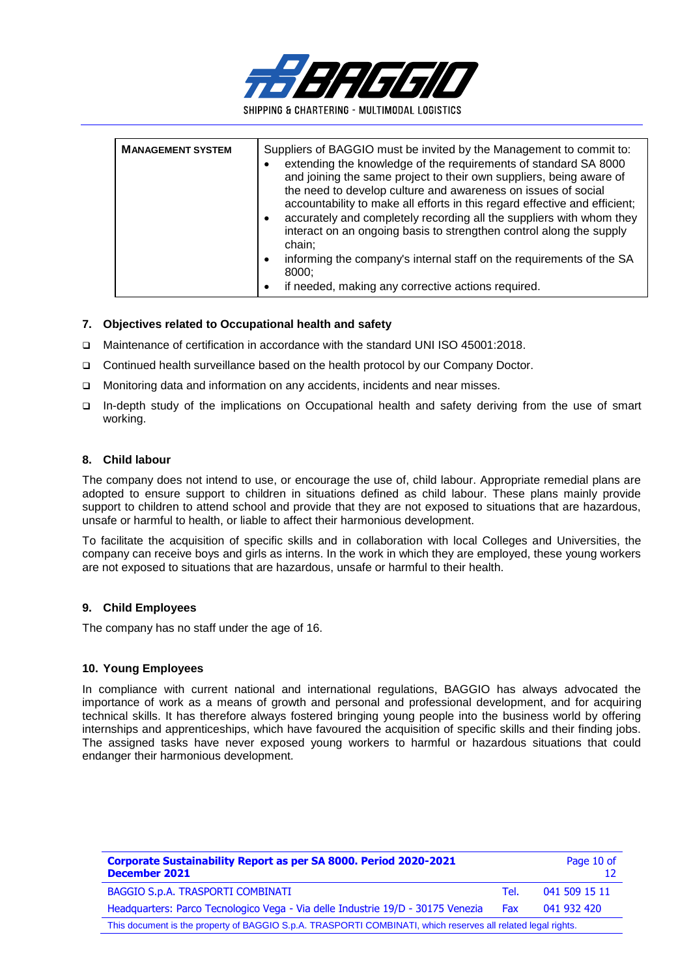

SHIPPING & CHARTERING - MULTIMODAL LOGISTICS

| <b>MANAGEMENT SYSTEM</b> | Suppliers of BAGGIO must be invited by the Management to commit to:<br>extending the knowledge of the requirements of standard SA 8000<br>and joining the same project to their own suppliers, being aware of<br>the need to develop culture and awareness on issues of social<br>accountability to make all efforts in this regard effective and efficient;<br>accurately and completely recording all the suppliers with whom they<br>interact on an ongoing basis to strengthen control along the supply<br>chain;<br>informing the company's internal staff on the requirements of the SA<br>8000:<br>if needed, making any corrective actions required. |
|--------------------------|--------------------------------------------------------------------------------------------------------------------------------------------------------------------------------------------------------------------------------------------------------------------------------------------------------------------------------------------------------------------------------------------------------------------------------------------------------------------------------------------------------------------------------------------------------------------------------------------------------------------------------------------------------------|
|--------------------------|--------------------------------------------------------------------------------------------------------------------------------------------------------------------------------------------------------------------------------------------------------------------------------------------------------------------------------------------------------------------------------------------------------------------------------------------------------------------------------------------------------------------------------------------------------------------------------------------------------------------------------------------------------------|

## **7. Objectives related to Occupational health and safety**

- Maintenance of certification in accordance with the standard UNI ISO 45001:2018.
- Continued health surveillance based on the health protocol by our Company Doctor.
- Monitoring data and information on any accidents, incidents and near misses.
- In-depth study of the implications on Occupational health and safety deriving from the use of smart working.

## **8. Child labour**

The company does not intend to use, or encourage the use of, child labour. Appropriate remedial plans are adopted to ensure support to children in situations defined as child labour. These plans mainly provide support to children to attend school and provide that they are not exposed to situations that are hazardous, unsafe or harmful to health, or liable to affect their harmonious development.

To facilitate the acquisition of specific skills and in collaboration with local Colleges and Universities, the company can receive boys and girls as interns. In the work in which they are employed, these young workers are not exposed to situations that are hazardous, unsafe or harmful to their health.

#### **9. Child Employees**

The company has no staff under the age of 16.

#### **10. Young Employees**

In compliance with current national and international regulations, BAGGIO has always advocated the importance of work as a means of growth and personal and professional development, and for acquiring technical skills. It has therefore always fostered bringing young people into the business world by offering internships and apprenticeships, which have favoured the acquisition of specific skills and their finding jobs. The assigned tasks have never exposed young workers to harmful or hazardous situations that could endanger their harmonious development.

| <b>Corporate Sustainability Report as per SA 8000. Period 2020-2021</b><br>December 2021                     | Page 10 of |               |  |
|--------------------------------------------------------------------------------------------------------------|------------|---------------|--|
| BAGGIO S.p.A. TRASPORTI COMBINATI                                                                            | Tel.       | 041 509 15 11 |  |
| Headquarters: Parco Tecnologico Vega - Via delle Industrie 19/D - 30175 Venezia                              | Fax        | 041 932 420   |  |
| This document is the property of BAGGIO S.p.A. TRASPORTI COMBINATI, which reserves all related legal rights. |            |               |  |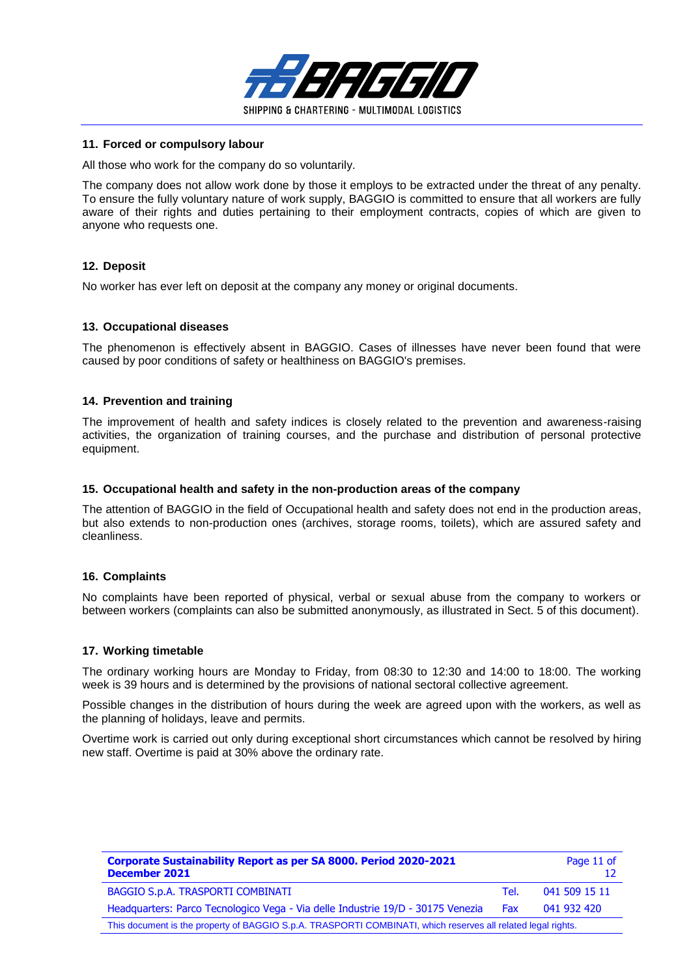

## **11. Forced or compulsory labour**

All those who work for the company do so voluntarily.

The company does not allow work done by those it employs to be extracted under the threat of any penalty. To ensure the fully voluntary nature of work supply, BAGGIO is committed to ensure that all workers are fully aware of their rights and duties pertaining to their employment contracts, copies of which are given to anyone who requests one.

# **12. Deposit**

No worker has ever left on deposit at the company any money or original documents.

## **13. Occupational diseases**

The phenomenon is effectively absent in BAGGIO. Cases of illnesses have never been found that were caused by poor conditions of safety or healthiness on BAGGIO's premises.

# **14. Prevention and training**

The improvement of health and safety indices is closely related to the prevention and awareness-raising activities, the organization of training courses, and the purchase and distribution of personal protective equipment.

#### **15. Occupational health and safety in the non-production areas of the company**

The attention of BAGGIO in the field of Occupational health and safety does not end in the production areas, but also extends to non-production ones (archives, storage rooms, toilets), which are assured safety and cleanliness.

# **16. Complaints**

No complaints have been reported of physical, verbal or sexual abuse from the company to workers or between workers (complaints can also be submitted anonymously, as illustrated in Sect. 5 of this document).

#### **17. Working timetable**

The ordinary working hours are Monday to Friday, from 08:30 to 12:30 and 14:00 to 18:00. The working week is 39 hours and is determined by the provisions of national sectoral collective agreement.

Possible changes in the distribution of hours during the week are agreed upon with the workers, as well as the planning of holidays, leave and permits.

Overtime work is carried out only during exceptional short circumstances which cannot be resolved by hiring new staff. Overtime is paid at 30% above the ordinary rate.

| <b>Corporate Sustainability Report as per SA 8000. Period 2020-2021</b><br><b>December 2021</b>              | Page 11 of |               |
|--------------------------------------------------------------------------------------------------------------|------------|---------------|
| BAGGIO S.p.A. TRASPORTI COMBINATI                                                                            | Tel.       | 041 509 15 11 |
| Headquarters: Parco Tecnologico Vega - Via delle Industrie 19/D - 30175 Venezia                              | Fax        | 041 932 420   |
| This document is the property of BAGGIO S.p.A. TRASPORTI COMBINATI, which reserves all related legal rights. |            |               |